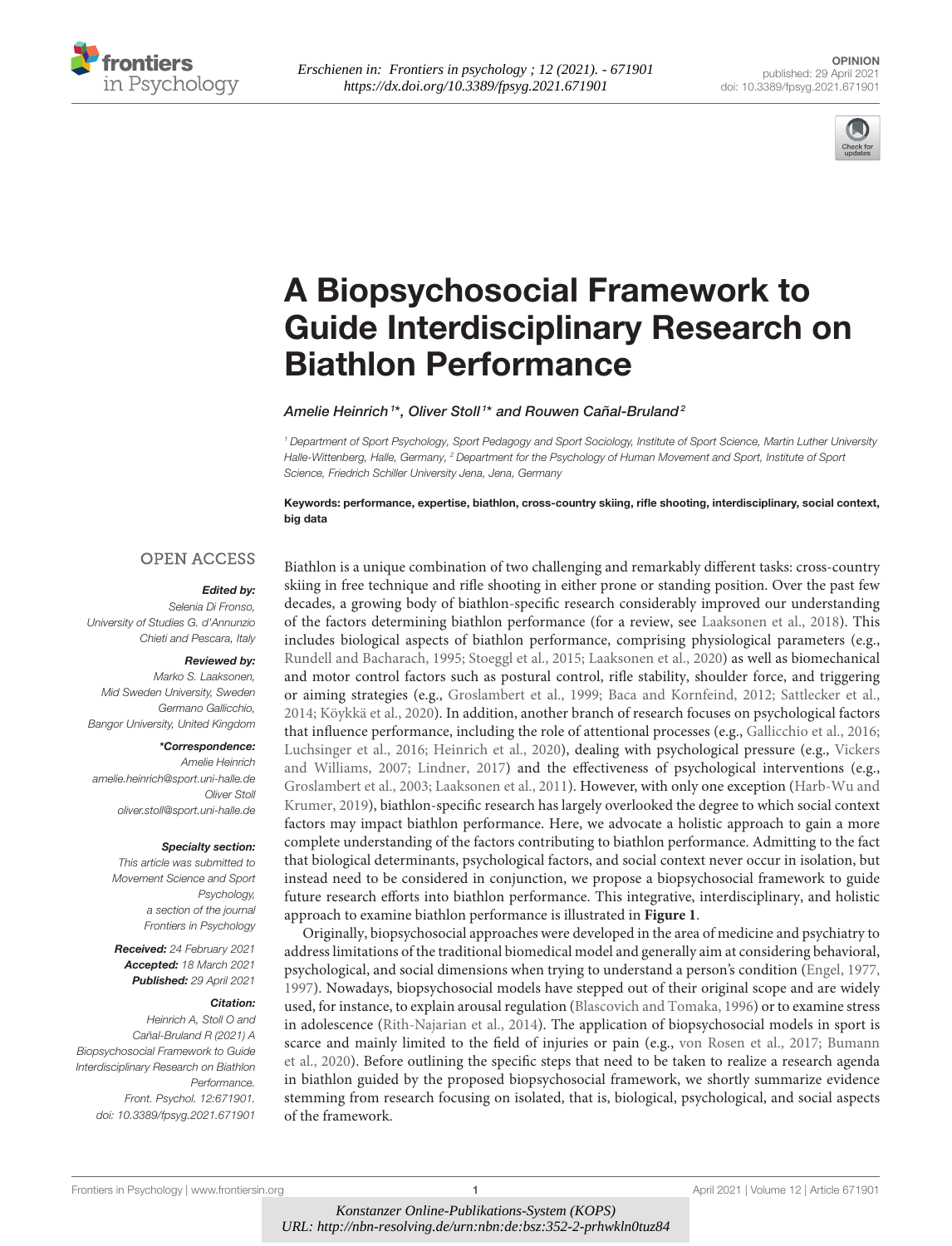



# A Biopsychosocial Framework to [Guide Interdisciplinary Research on](https://www.frontiersin.org/articles/10.3389/fpsyg.2021.671901/full) Biathlon Performance

Amelie Heinrich<sup>1\*</sup>, Oliver Stoll<sup>1\*</sup> and Rouwen Cañal-Bruland<sup>2</sup>

<sup>1</sup> Department of Sport Psychology, Sport Pedagogy and Sport Sociology, Institute of Sport Science, Martin Luther University Halle-Wittenberg, Halle, Germany, <sup>2</sup> Department for the Psychology of Human Movement and Sport, Institute of Sport Science, Friedrich Schiller University Jena, Jena, Germany

Keywords: performance, expertise, biathlon, cross-country skiing, rifle shooting, interdisciplinary, social context, big data

#### **OPEN ACCESS**

#### Edited by:

Selenia Di Fronso, University of Studies G. d'Annunzio Chieti and Pescara, Italy

#### Reviewed by:

Marko S. Laaksonen, Mid Sweden University, Sweden Germano Gallicchio, Bangor University, United Kingdom

#### \*Correspondence:

Amelie Heinrich [amelie.heinrich@sport.uni-halle.de](mailto:amelie.heinrich@sport.uni-halle.de) Oliver Stoll [oliver.stoll@sport.uni-halle.de](mailto:oliver.stoll@sport.uni-halle.de)

#### Specialty section:

This article was submitted to Movement Science and Sport Psychology, a section of the journal Frontiers in Psychology

Received: 24 February 2021 Accepted: 18 March 2021 Published: 29 April 2021

#### Citation:

Heinrich A, Stoll O and Cañal-Bruland R (2021) A Biopsychosocial Framework to Guide Interdisciplinary Research on Biathlon Performance. Front. Psychol. 12:671901. doi: [10.3389/fpsyg.2021.671901](https://doi.org/10.3389/fpsyg.2021.671901)

Biathlon is a unique combination of two challenging and remarkably different tasks: cross-country skiing in free technique and rifle shooting in either prone or standing position. Over the past few decades, a growing body of biathlon-specific research considerably improved our understanding of the factors determining biathlon performance (for a review, see [Laaksonen et al., 2018\)](#page-4-0). This includes biological aspects of biathlon performance, comprising physiological parameters (e.g., [Rundell and Bacharach, 1995;](#page-4-1) [Stoeggl et al., 2015;](#page-4-2) [Laaksonen](#page-4-3) et al., [2020\)](#page-4-3) as well as biomechanical and motor control factors such as postural control, rifle stability, shoulder force, and triggering or aiming strategies (e.g., [Groslambert et al., 1999;](#page-3-0) [Baca and Kornfeind, 2012;](#page-3-1) [Sattlecker et al.,](#page-4-4) [2014;](#page-4-4) [Köykkä et al., 2020\)](#page-4-5). In addition, another branch of research focuses on psychological factors that influence performance, including the role of attentional processes (e.g., [Gallicchio et al., 2016;](#page-3-2) [Luchsinger et al., 2016;](#page-4-6) [Heinrich et al., 2020\)](#page-3-3), dealing with psychological pressure (e.g., Vickers and Williams, [2007;](#page-4-7) [Lindner, 2017\)](#page-4-8) and the effectiveness of psychological interventions (e.g., [Groslambert et al., 2003;](#page-3-4) [Laaksonen et al., 2011\)](#page-4-9). However, with only one exception (Harb-Wu and Krumer, [2019\)](#page-3-5), biathlon-specific research has largely overlooked the degree to which social context factors may impact biathlon performance. Here, we advocate a holistic approach to gain a more complete understanding of the factors contributing to biathlon performance. Admitting to the fact that biological determinants, psychological factors, and social context never occur in isolation, but instead need to be considered in conjunction, we propose a biopsychosocial framework to guide future research efforts into biathlon performance. This integrative, interdisciplinary, and holistic approach to examine biathlon performance is illustrated in **[Figure 1](#page-1-0)**.

Originally, biopsychosocial approaches were developed in the area of medicine and psychiatry to address limitations of the traditional biomedical model and generally aim at considering behavioral, psychological, and social dimensions when trying to understand a person's condition [\(Engel, 1977,](#page-3-6) [1997\)](#page-3-7). Nowadays, biopsychosocial models have stepped out of their original scope and are widely used, for instance, to explain arousal regulation [\(Blascovich and Tomaka, 1996\)](#page-3-8) or to examine stress in adolescence [\(Rith-Najarian et al., 2014\)](#page-4-10). The application of biopsychosocial models in sport is scarce and mainly limited to the field of injuries or pain (e.g., [von Rosen et al., 2017;](#page-4-11) Bumann et al., [2020\)](#page-3-9). Before outlining the specific steps that need to be taken to realize a research agenda in biathlon guided by the proposed biopsychosocial framework, we shortly summarize evidence stemming from research focusing on isolated, that is, biological, psychological, and social aspects of the framework.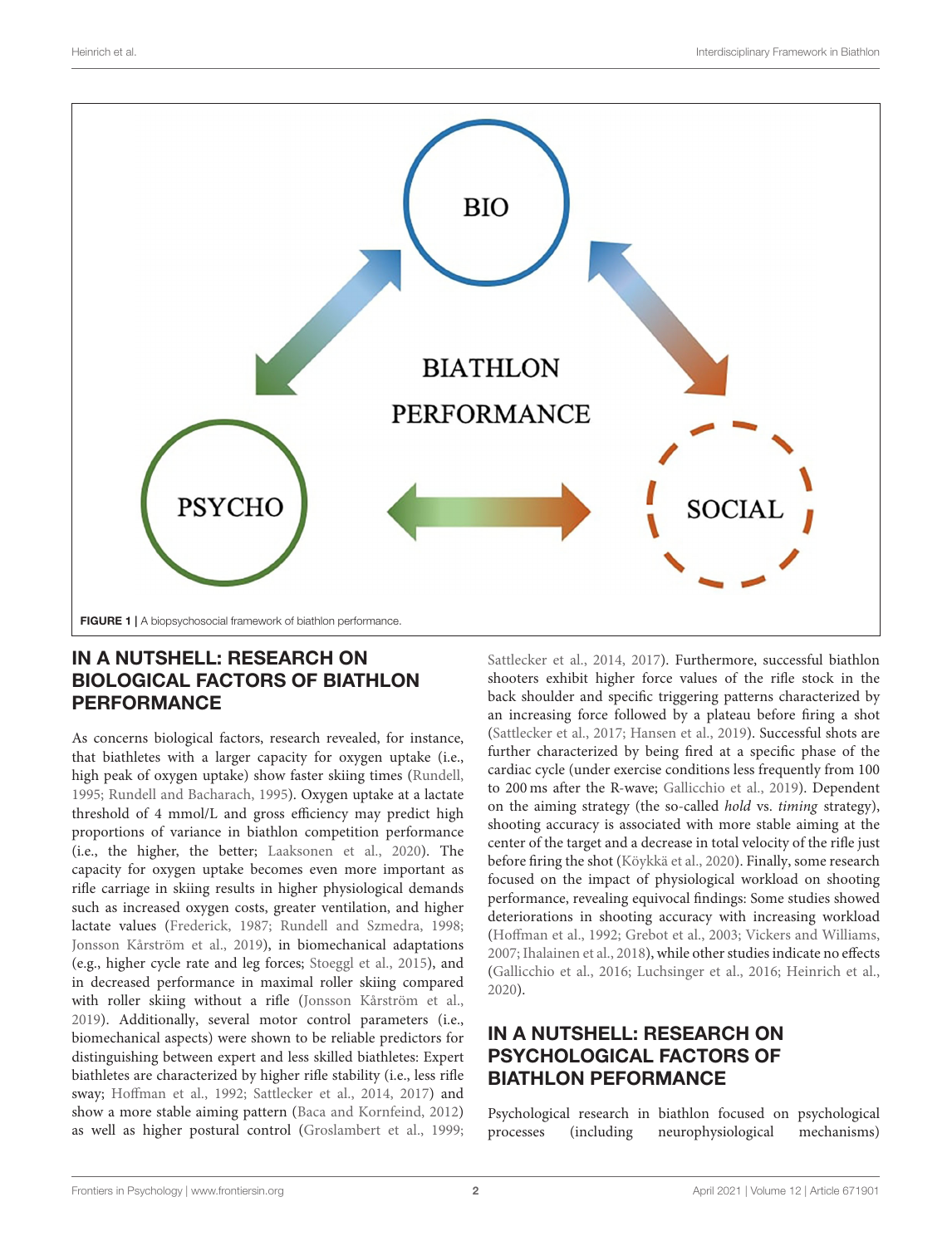

#### <span id="page-1-0"></span>IN A NUTSHELL: RESEARCH ON BIOLOGICAL FACTORS OF BIATHLON PERFORMANCE

As concerns biological factors, research revealed, for instance, that biathletes with a larger capacity for oxygen uptake (i.e., high peak of oxygen uptake) show faster skiing times [\(Rundell,](#page-4-12) [1995;](#page-4-12) [Rundell and Bacharach, 1995\)](#page-4-1). Oxygen uptake at a lactate threshold of 4 mmol/L and gross efficiency may predict high proportions of variance in biathlon competition performance (i.e., the higher, the better; [Laaksonen et al., 2020\)](#page-4-3). The capacity for oxygen uptake becomes even more important as rifle carriage in skiing results in higher physiological demands such as increased oxygen costs, greater ventilation, and higher lactate values [\(Frederick, 1987;](#page-3-10) [Rundell and Szmedra, 1998;](#page-4-13) [Jonsson Kårström et al., 2019\)](#page-3-11), in biomechanical adaptations (e.g., higher cycle rate and leg forces; [Stoeggl et al., 2015\)](#page-4-2), and in decreased performance in maximal roller skiing compared with roller skiing without a rifle [\(Jonsson Kårström et al.,](#page-3-11) [2019\)](#page-3-11). Additionally, several motor control parameters (i.e., biomechanical aspects) were shown to be reliable predictors for distinguishing between expert and less skilled biathletes: Expert biathletes are characterized by higher rifle stability (i.e., less rifle sway; [Hoffman et al., 1992;](#page-3-12) [Sattlecker et al., 2014,](#page-4-4) [2017\)](#page-4-14) and show a more stable aiming pattern [\(Baca and Kornfeind, 2012\)](#page-3-1) as well as higher postural control [\(Groslambert et al., 1999;](#page-3-0) [Sattlecker et al., 2014,](#page-4-4) [2017\)](#page-4-14). Furthermore, successful biathlon shooters exhibit higher force values of the rifle stock in the back shoulder and specific triggering patterns characterized by an increasing force followed by a plateau before firing a shot [\(Sattlecker et al., 2017;](#page-4-14) [Hansen et al., 2019\)](#page-3-13). Successful shots are further characterized by being fired at a specific phase of the cardiac cycle (under exercise conditions less frequently from 100 to 200 ms after the R-wave; [Gallicchio et al., 2019\)](#page-3-14). Dependent on the aiming strategy (the so-called hold vs. timing strategy), shooting accuracy is associated with more stable aiming at the center of the target and a decrease in total velocity of the rifle just before firing the shot [\(Köykkä et al., 2020\)](#page-4-5). Finally, some research focused on the impact of physiological workload on shooting performance, revealing equivocal findings: Some studies showed deteriorations in shooting accuracy with increasing workload [\(Hoffman et al., 1992;](#page-3-12) [Grebot et al., 2003;](#page-3-15) [Vickers and Williams,](#page-4-7) [2007;](#page-4-7) [Ihalainen et al., 2018\)](#page-3-16), while other studies indicate no effects [\(Gallicchio et al., 2016;](#page-3-2) [Luchsinger et al., 2016;](#page-4-6) [Heinrich et al.,](#page-3-3) [2020\)](#page-3-3).

# IN A NUTSHELL: RESEARCH ON PSYCHOLOGICAL FACTORS OF BIATHLON PEFORMANCE

Psychological research in biathlon focused on psychological processes (including neurophysiological mechanisms)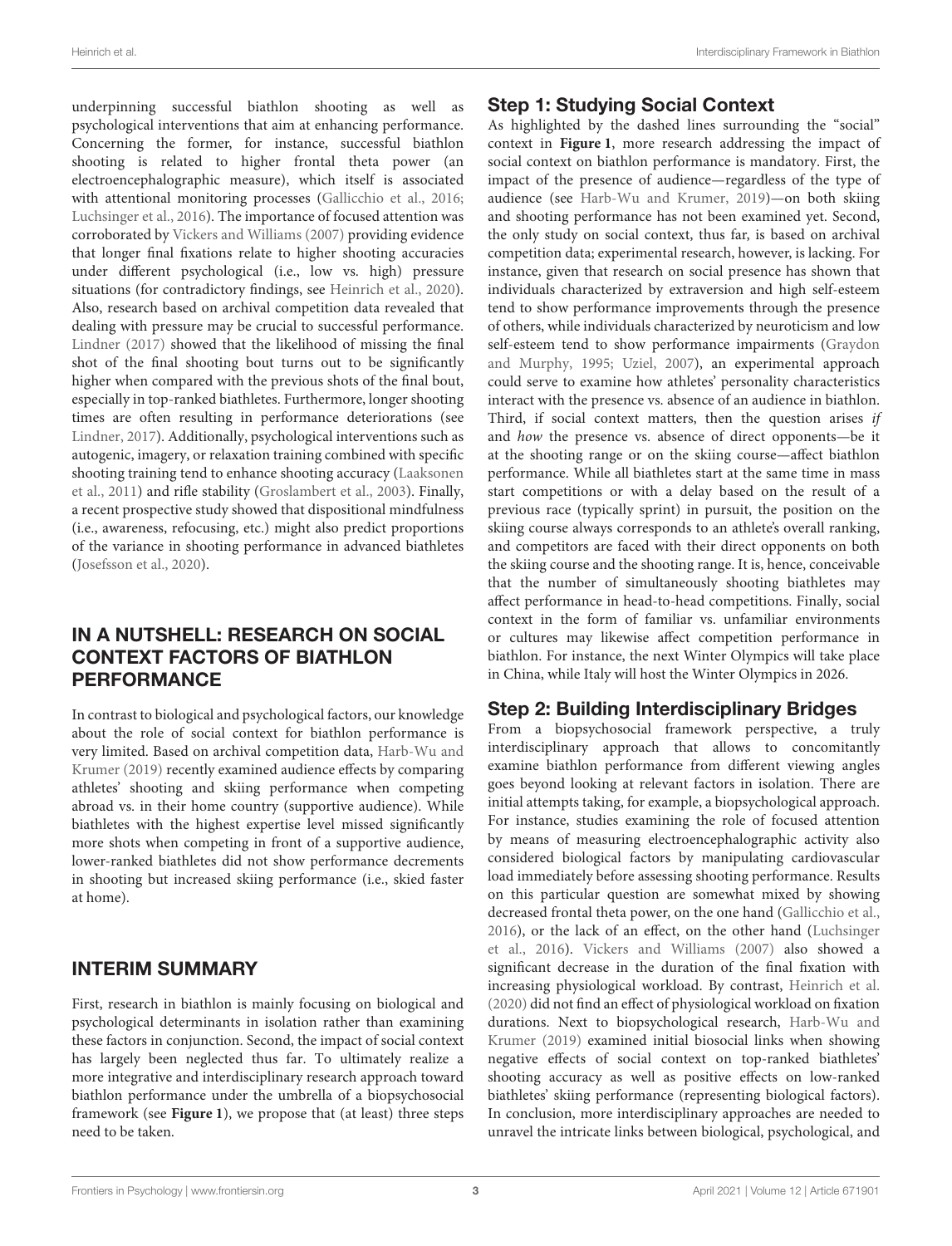underpinning successful biathlon shooting as well as psychological interventions that aim at enhancing performance. Concerning the former, for instance, successful biathlon shooting is related to higher frontal theta power (an electroencephalographic measure), which itself is associated with attentional monitoring processes [\(Gallicchio et al., 2016;](#page-3-2) [Luchsinger et al., 2016\)](#page-4-6). The importance of focused attention was corroborated by [Vickers and Williams \(2007\)](#page-4-7) providing evidence that longer final fixations relate to higher shooting accuracies under different psychological (i.e., low vs. high) pressure situations (for contradictory findings, see [Heinrich et al., 2020\)](#page-3-3). Also, research based on archival competition data revealed that dealing with pressure may be crucial to successful performance. [Lindner \(2017\)](#page-4-8) showed that the likelihood of missing the final shot of the final shooting bout turns out to be significantly higher when compared with the previous shots of the final bout, especially in top-ranked biathletes. Furthermore, longer shooting times are often resulting in performance deteriorations (see [Lindner, 2017\)](#page-4-8). Additionally, psychological interventions such as autogenic, imagery, or relaxation training combined with specific shooting training tend to enhance shooting accuracy (Laaksonen et al., [2011\)](#page-4-9) and rifle stability [\(Groslambert et al., 2003\)](#page-3-4). Finally, a recent prospective study showed that dispositional mindfulness (i.e., awareness, refocusing, etc.) might also predict proportions of the variance in shooting performance in advanced biathletes [\(Josefsson et al., 2020\)](#page-3-17).

### IN A NUTSHELL: RESEARCH ON SOCIAL CONTEXT FACTORS OF BIATHLON PERFORMANCE

In contrast to biological and psychological factors, our knowledge about the role of social context for biathlon performance is very limited. Based on archival competition data, Harb-Wu and Krumer [\(2019\)](#page-3-5) recently examined audience effects by comparing athletes' shooting and skiing performance when competing abroad vs. in their home country (supportive audience). While biathletes with the highest expertise level missed significantly more shots when competing in front of a supportive audience, lower-ranked biathletes did not show performance decrements in shooting but increased skiing performance (i.e., skied faster at home).

# INTERIM SUMMARY

First, research in biathlon is mainly focusing on biological and psychological determinants in isolation rather than examining these factors in conjunction. Second, the impact of social context has largely been neglected thus far. To ultimately realize a more integrative and interdisciplinary research approach toward biathlon performance under the umbrella of a biopsychosocial framework (see **[Figure 1](#page-1-0)**), we propose that (at least) three steps need to be taken.

### Step 1: Studying Social Context

As highlighted by the dashed lines surrounding the "social" context in **[Figure 1](#page-1-0)**, more research addressing the impact of social context on biathlon performance is mandatory. First, the impact of the presence of audience—regardless of the type of audience (see [Harb-Wu and Krumer, 2019\)](#page-3-5)—on both skiing and shooting performance has not been examined yet. Second, the only study on social context, thus far, is based on archival competition data; experimental research, however, is lacking. For instance, given that research on social presence has shown that individuals characterized by extraversion and high self-esteem tend to show performance improvements through the presence of others, while individuals characterized by neuroticism and low self-esteem tend to show performance impairments (Graydon and Murphy, [1995;](#page-3-18) [Uziel, 2007\)](#page-4-15), an experimental approach could serve to examine how athletes' personality characteristics interact with the presence vs. absence of an audience in biathlon. Third, if social context matters, then the question arises if and how the presence vs. absence of direct opponents—be it at the shooting range or on the skiing course—affect biathlon performance. While all biathletes start at the same time in mass start competitions or with a delay based on the result of a previous race (typically sprint) in pursuit, the position on the skiing course always corresponds to an athlete's overall ranking, and competitors are faced with their direct opponents on both the skiing course and the shooting range. It is, hence, conceivable that the number of simultaneously shooting biathletes may affect performance in head-to-head competitions. Finally, social context in the form of familiar vs. unfamiliar environments or cultures may likewise affect competition performance in biathlon. For instance, the next Winter Olympics will take place in China, while Italy will host the Winter Olympics in 2026.

# Step 2: Building Interdisciplinary Bridges

From a biopsychosocial framework perspective, a truly interdisciplinary approach that allows to concomitantly examine biathlon performance from different viewing angles goes beyond looking at relevant factors in isolation. There are initial attempts taking, for example, a biopsychological approach. For instance, studies examining the role of focused attention by means of measuring electroencephalographic activity also considered biological factors by manipulating cardiovascular load immediately before assessing shooting performance. Results on this particular question are somewhat mixed by showing decreased frontal theta power, on the one hand [\(Gallicchio et al.,](#page-3-2) [2016\)](#page-3-2), or the lack of an effect, on the other hand (Luchsinger et al., [2016\)](#page-4-6). [Vickers and Williams \(2007\)](#page-4-7) also showed a significant decrease in the duration of the final fixation with increasing physiological workload. By contrast, [Heinrich et al.](#page-3-3) [\(2020\)](#page-3-3) did not find an effect of physiological workload on fixation durations. Next to biopsychological research, Harb-Wu and Krumer [\(2019\)](#page-3-5) examined initial biosocial links when showing negative effects of social context on top-ranked biathletes' shooting accuracy as well as positive effects on low-ranked biathletes' skiing performance (representing biological factors). In conclusion, more interdisciplinary approaches are needed to unravel the intricate links between biological, psychological, and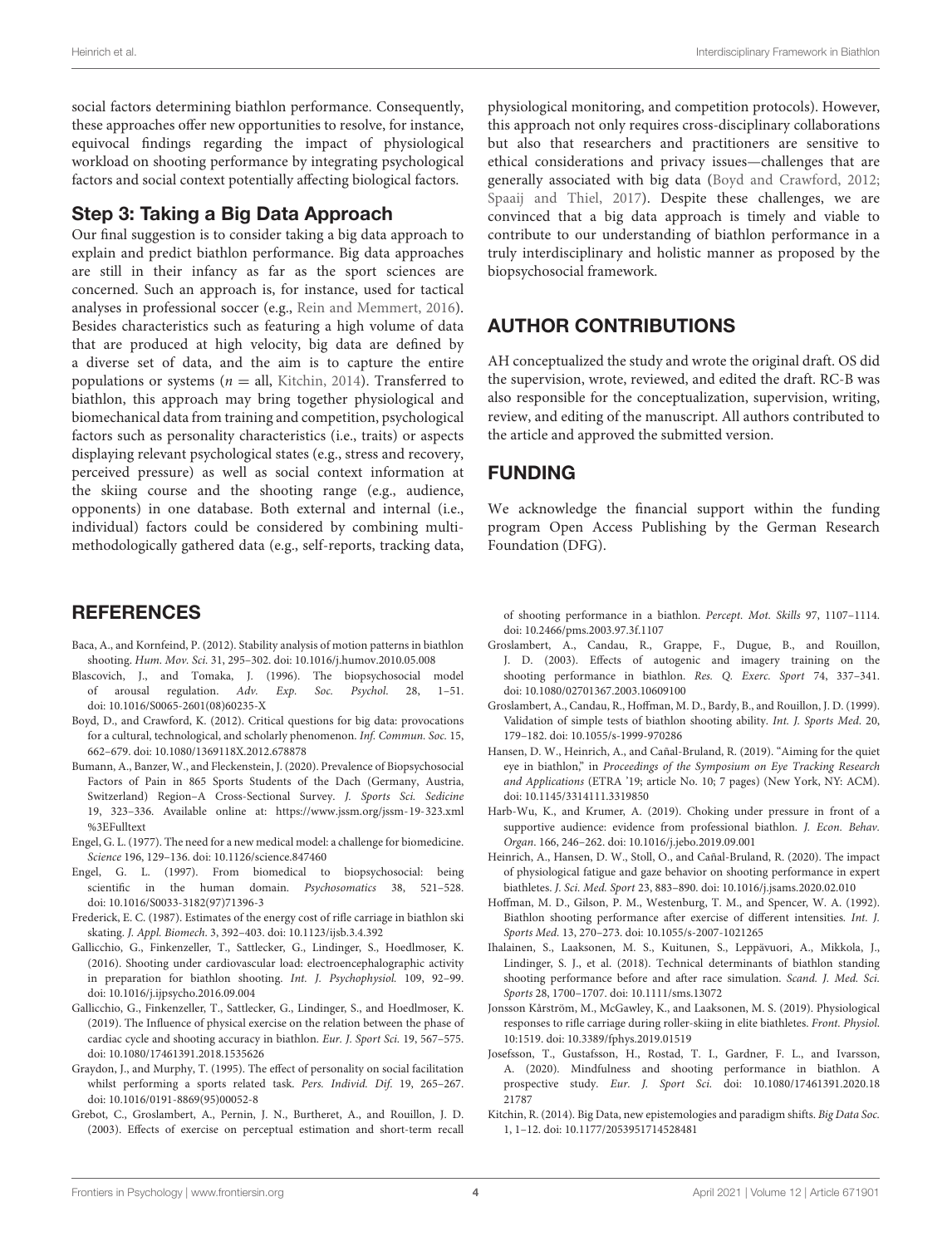social factors determining biathlon performance. Consequently, these approaches offer new opportunities to resolve, for instance, equivocal findings regarding the impact of physiological workload on shooting performance by integrating psychological factors and social context potentially affecting biological factors.

#### Step 3: Taking a Big Data Approach

Our final suggestion is to consider taking a big data approach to explain and predict biathlon performance. Big data approaches are still in their infancy as far as the sport sciences are concerned. Such an approach is, for instance, used for tactical analyses in professional soccer (e.g., [Rein and Memmert, 2016\)](#page-4-16). Besides characteristics such as featuring a high volume of data that are produced at high velocity, big data are defined by a diverse set of data, and the aim is to capture the entire populations or systems ( $n =$  all, [Kitchin, 2014\)](#page-3-19). Transferred to biathlon, this approach may bring together physiological and biomechanical data from training and competition, psychological factors such as personality characteristics (i.e., traits) or aspects displaying relevant psychological states (e.g., stress and recovery, perceived pressure) as well as social context information at the skiing course and the shooting range (e.g., audience, opponents) in one database. Both external and internal (i.e., individual) factors could be considered by combining multimethodologically gathered data (e.g., self-reports, tracking data,

#### **REFERENCES**

- <span id="page-3-1"></span>Baca, A., and Kornfeind, P. (2012). Stability analysis of motion patterns in biathlon shooting. Hum. Mov. Sci. 31, 295–302. doi: [10.1016/j.humov.2010.05.008](https://doi.org/10.1016/j.humov.2010.05.008)
- <span id="page-3-8"></span>Blascovich, J., and Tomaka, J. (1996). The biopsychosocial model of arousal regulation. Adv. Exp. Soc. Psychol. 28, 1–51. doi: [10.1016/S0065-2601\(08\)60235-X](https://doi.org/10.1016/S0065-2601(08)60235-X)
- <span id="page-3-20"></span>Boyd, D., and Crawford, K. (2012). Critical questions for big data: provocations for a cultural, technological, and scholarly phenomenon. Inf. Commun. Soc. 15, 662–679. doi: [10.1080/1369118X.2012.678878](https://doi.org/10.1080/1369118X.2012.678878)
- <span id="page-3-9"></span>Bumann, A., Banzer, W., and Fleckenstein, J. (2020). Prevalence of Biopsychosocial Factors of Pain in 865 Sports Students of the Dach (Germany, Austria, Switzerland) Region–A Cross-Sectional Survey. J. Sports Sci. Sedicine 19, 323–336. Available online at: [https://www.jssm.org/jssm-19-323.xml](https://www.jssm.org/jssm-19-323.xml%3EFulltext) [%3EFulltext](https://www.jssm.org/jssm-19-323.xml%3EFulltext)
- <span id="page-3-6"></span>Engel, G. L. (1977). The need for a new medical model: a challenge for biomedicine. Science 196, 129–136. doi: [10.1126/science.847460](https://doi.org/10.1126/science.847460)
- <span id="page-3-7"></span>Engel, G. L. (1997). From biomedical to biopsychosocial: being scientific in the human domain. Psychosomatics 38, 521–528. doi: [10.1016/S0033-3182\(97\)71396-3](https://doi.org/10.1016/S0033-3182(97)71396-3)
- <span id="page-3-10"></span>Frederick, E. C. (1987). Estimates of the energy cost of rifle carriage in biathlon ski skating. J. Appl. Biomech. 3, 392–403. doi: [10.1123/ijsb.3.4.392](https://doi.org/10.1123/ijsb.3.4.392)
- <span id="page-3-2"></span>Gallicchio, G., Finkenzeller, T., Sattlecker, G., Lindinger, S., Hoedlmoser, K. (2016). Shooting under cardiovascular load: electroencephalographic activity in preparation for biathlon shooting. Int. J. Psychophysiol. 109, 92–99. doi: [10.1016/j.ijpsycho.2016.09.004](https://doi.org/10.1016/j.ijpsycho.2016.09.004)
- <span id="page-3-14"></span>Gallicchio, G., Finkenzeller, T., Sattlecker, G., Lindinger, S., and Hoedlmoser, K. (2019). The Influence of physical exercise on the relation between the phase of cardiac cycle and shooting accuracy in biathlon. Eur. J. Sport Sci. 19, 567–575. doi: [10.1080/17461391.2018.1535626](https://doi.org/10.1080/17461391.2018.1535626)
- <span id="page-3-18"></span>Graydon, J., and Murphy, T. (1995). The effect of personality on social facilitation whilst performing a sports related task. Pers. Individ. Dif. 19, 265–267. doi: [10.1016/0191-8869\(95\)00052-8](https://doi.org/10.1016/0191-8869(95)00052-8)
- <span id="page-3-15"></span>Grebot, C., Groslambert, A., Pernin, J. N., Burtheret, A., and Rouillon, J. D. (2003). Effects of exercise on perceptual estimation and short-term recall

physiological monitoring, and competition protocols). However, this approach not only requires cross-disciplinary collaborations but also that researchers and practitioners are sensitive to ethical considerations and privacy issues—challenges that are generally associated with big data [\(Boyd and Crawford, 2012;](#page-3-20) [Spaaij and Thiel, 2017\)](#page-4-17). Despite these challenges, we are convinced that a big data approach is timely and viable to contribute to our understanding of biathlon performance in a truly interdisciplinary and holistic manner as proposed by the biopsychosocial framework.

### AUTHOR CONTRIBUTIONS

AH conceptualized the study and wrote the original draft. OS did the supervision, wrote, reviewed, and edited the draft. RC-B was also responsible for the conceptualization, supervision, writing, review, and editing of the manuscript. All authors contributed to the article and approved the submitted version.

#### FUNDING

We acknowledge the financial support within the funding program Open Access Publishing by the German Research Foundation (DFG).

of shooting performance in a biathlon. Percept. Mot. Skills 97, 1107–1114. doi: [10.2466/pms.2003.97.3f.1107](https://doi.org/10.2466/pms.2003.97.3f.1107)

- <span id="page-3-4"></span>Groslambert, A., Candau, R., Grappe, F., Dugue, B., and Rouillon, J. D. (2003). Effects of autogenic and imagery training on the shooting performance in biathlon. Res. Q. Exerc. Sport 74, 337–341. doi: [10.1080/02701367.2003.10609100](https://doi.org/10.1080/02701367.2003.10609100)
- <span id="page-3-0"></span>Groslambert, A., Candau, R., Hoffman, M. D., Bardy, B., and Rouillon, J. D. (1999). Validation of simple tests of biathlon shooting ability. Int. J. Sports Med. 20, 179–182. doi: [10.1055/s-1999-970286](https://doi.org/10.1055/s-1999-970286)
- <span id="page-3-13"></span>Hansen, D. W., Heinrich, A., and Cañal-Bruland, R. (2019). "Aiming for the quiet eye in biathlon," in Proceedings of the Symposium on Eye Tracking Research and Applications (ETRA '19; article No. 10; 7 pages) (New York, NY: ACM). doi: [10.1145/3314111.3319850](https://doi.org/10.1145/3314111.3319850)
- <span id="page-3-5"></span>Harb-Wu, K., and Krumer, A. (2019). Choking under pressure in front of a supportive audience: evidence from professional biathlon. J. Econ. Behav. Organ. 166, 246–262. doi: [10.1016/j.jebo.2019.09.001](https://doi.org/10.1016/j.jebo.2019.09.001)
- <span id="page-3-3"></span>Heinrich, A., Hansen, D. W., Stoll, O., and Cañal-Bruland, R. (2020). The impact of physiological fatigue and gaze behavior on shooting performance in expert biathletes. J. Sci. Med. Sport 23, 883–890. doi: [10.1016/j.jsams.2020.02.010](https://doi.org/10.1016/j.jsams.2020.02.010)
- <span id="page-3-12"></span>Hoffman, M. D., Gilson, P. M., Westenburg, T. M., and Spencer, W. A. (1992). Biathlon shooting performance after exercise of different intensities. Int. J. Sports Med. 13, 270–273. doi: [10.1055/s-2007-1021265](https://doi.org/10.1055/s-2007-1021265)
- <span id="page-3-16"></span>Ihalainen, S., Laaksonen, M. S., Kuitunen, S., Leppävuori, A., Mikkola, J., Lindinger, S. J., et al. (2018). Technical determinants of biathlon standing shooting performance before and after race simulation. Scand. J. Med. Sci. Sports 28, 1700–1707. doi: [10.1111/sms.13072](https://doi.org/10.1111/sms.13072)
- <span id="page-3-11"></span>Jonsson Kårström, M., McGawley, K., and Laaksonen, M. S. (2019). Physiological responses to rifle carriage during roller-skiing in elite biathletes. Front. Physiol. 10:1519. doi: [10.3389/fphys.2019.01519](https://doi.org/10.3389/fphys.2019.01519)
- <span id="page-3-17"></span>Josefsson, T., Gustafsson, H., Rostad, T. I., Gardner, F. L., and Ivarsson, A. (2020). Mindfulness and shooting performance in biathlon. A prospective study. Eur. J. Sport Sci. [doi: 10.1080/17461391.2020.18](https://doi.org/10.1080/17461391.2020.1821787) 21787
- <span id="page-3-19"></span>Kitchin, R. (2014). Big Data, new epistemologies and paradigm shifts. Big Data Soc. 1, 1–12. doi: [10.1177/2053951714528481](https://doi.org/10.1177/2053951714528481)